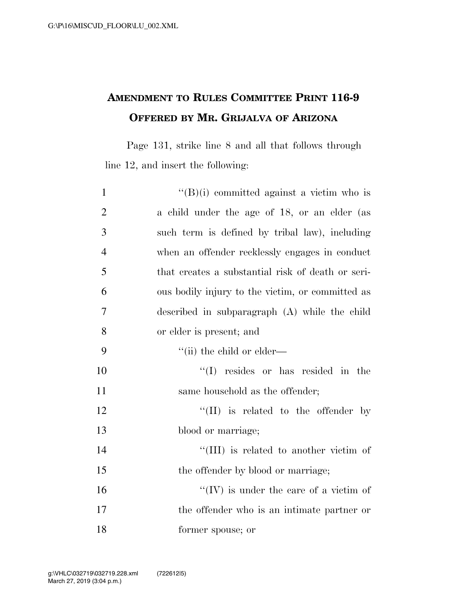## **AMENDMENT TO RULES COMMITTEE PRINT 116-9 OFFERED BY MR. GRIJALVA OF ARIZONA**

Page 131, strike line 8 and all that follows through line 12, and insert the following:

| $\mathbf{1}$   | $``(B)(i)$ committed against a victim who is      |
|----------------|---------------------------------------------------|
| $\overline{2}$ | a child under the age of 18, or an elder (as      |
| 3              | such term is defined by tribal law), including    |
| $\overline{4}$ | when an offender recklessly engages in conduct    |
| 5              | that creates a substantial risk of death or seri- |
| 6              | ous bodily injury to the victim, or committed as  |
| $\overline{7}$ | described in subparagraph $(A)$ while the child   |
| 8              | or elder is present; and                          |
| 9              | $\lq\lq$ (ii) the child or elder—                 |
| 10             | $\lq\lq$ resides or has resided in the            |
| 11             | same household as the offender;                   |
| 12             | $\lq\lq$ (II) is related to the offender by       |
| 13             | blood or marriage;                                |
| 14             | "(III) is related to another victim of            |
| 15             | the offender by blood or marriage;                |
| 16             | $\lq\lq$ (IV) is under the care of a victim of    |
| 17             | the offender who is an intimate partner or        |
| 18             | former spouse; or                                 |